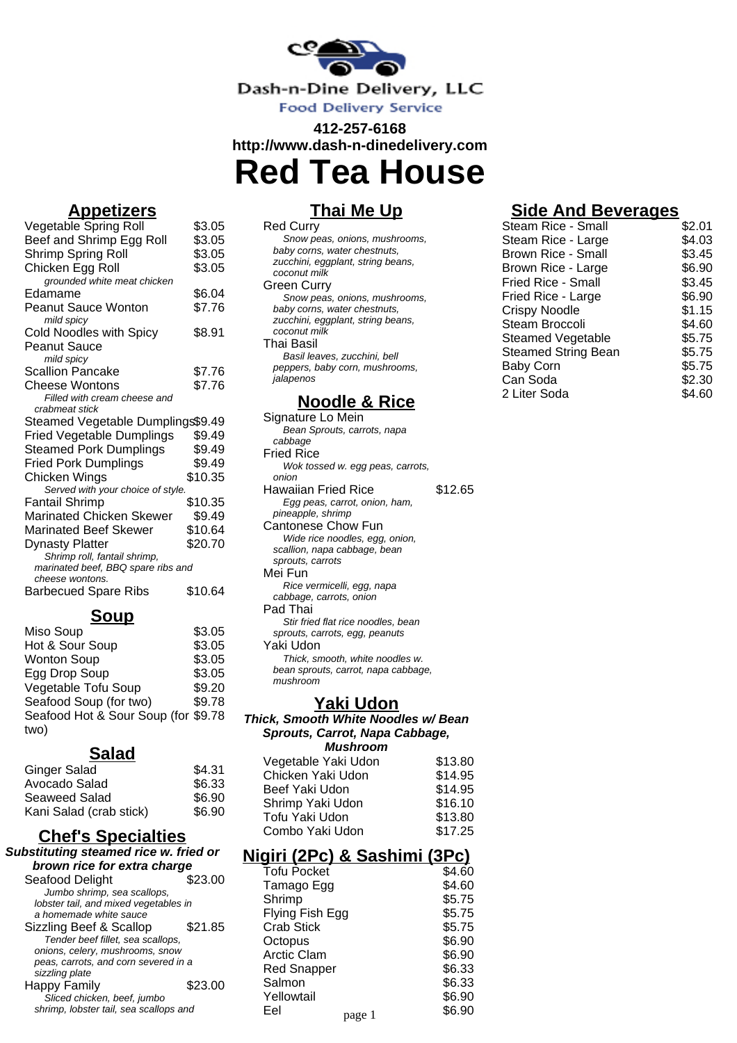

# **412-257-6168 http://www.dash-n-dinedelivery.com Red Tea House**

## **Appetizers**

| $\overline{\phantom{a}}$<br>⋍      |         |
|------------------------------------|---------|
| Vegetable Spring Roll              | \$3.05  |
| Beef and Shrimp Egg Roll           | \$3.05  |
| Shrimp Spring Roll                 | \$3.05  |
| Chicken Egg Roll                   | \$3.05  |
| grounded white meat chicken        |         |
| Edamame                            | \$6.04  |
| <b>Peanut Sauce Wonton</b>         | \$7.76  |
| mild spicy                         |         |
| <b>Cold Noodles with Spicy</b>     | \$8.91  |
| Peanut Sauce                       |         |
| mild spicy                         |         |
| <b>Scallion Pancake</b>            | \$7.76  |
| <b>Cheese Wontons</b>              | \$7.76  |
| Filled with cream cheese and       |         |
| crabmeat stick                     |         |
| Steamed Vegetable Dumplings\$9.49  |         |
| <b>Fried Vegetable Dumplings</b>   | \$9.49  |
| <b>Steamed Pork Dumplings</b>      | \$9.49  |
| <b>Fried Pork Dumplings</b>        | \$9.49  |
| Chicken Wings                      | \$10.35 |
| Served with your choice of style.  |         |
| <b>Fantail Shrimp</b>              | \$10.35 |
| Marinated Chicken Skewer           | \$9.49  |
| Marinated Beef Skewer              | \$10.64 |
| <b>Dynasty Platter</b>             | \$20.70 |
| Shrimp roll, fantail shrimp,       |         |
| marinated beef, BBQ spare ribs and |         |
| cheese wontons.                    |         |
| <b>Barbecued Spare Ribs</b>        | \$10.64 |
|                                    |         |

### **Soup**

| \$3.05                              |
|-------------------------------------|
| \$3.05                              |
| \$3.05                              |
| \$3.05                              |
| \$9.20                              |
| \$9.78                              |
| Seafood Hot & Sour Soup (for \$9.78 |
|                                     |
|                                     |

#### **Salad**

| Ginger Salad            | \$4.31 |
|-------------------------|--------|
| Avocado Salad           | \$6.33 |
| Seaweed Salad           | \$6.90 |
| Kani Salad (crab stick) | \$6.90 |

## **Chef's Specialties**

#### **Substituting steamed rice w. fried or brown rice for extra charge** Seafood Delight \$23.00 Jumbo shrimp, sea scallops, lobster tail, and mixed vegetables in a homemade white sauce Sizzling Beef & Scallop \$21.85 Tender beef fillet, sea scallops, onions, celery, mushrooms, snow peas, carrots, and corn severed in a sizzling plate Happy Family \$23.00 Sliced chicken, beef, jumbo shrimp, lobster tail, sea scallops and

## **Thai Me Up**

| <b>Red Curry</b>                  |  |
|-----------------------------------|--|
| Snow peas, onions, mushrooms,     |  |
| baby corns, water chestnuts,      |  |
| zucchini, eggplant, string beans, |  |
| coconut milk                      |  |
| Green Curry                       |  |
| Snow peas, onions, mushrooms,     |  |
| baby corns, water chestnuts,      |  |
| zucchini, eggplant, string beans, |  |
| coconut milk                      |  |
| Thai Basil                        |  |
| Basil leaves, zucchini, bell      |  |
| peppers, baby corn, mushrooms,    |  |
| alapenos                          |  |
|                                   |  |

## **Noodle & Rice**

| Signature Lo Mein                   |         |
|-------------------------------------|---------|
| Bean Sprouts, carrots, napa         |         |
| cabbage                             |         |
| <b>Fried Rice</b>                   |         |
| Wok tossed w. egg peas, carrots,    |         |
| onion                               |         |
| Hawaiian Fried Rice                 | \$12.65 |
| Egg peas, carrot, onion, ham,       |         |
| pineapple, shrimp                   |         |
| Cantonese Chow Fun                  |         |
| Wide rice noodles, egg, onion,      |         |
| scallion, napa cabbage, bean        |         |
| sprouts, carrots                    |         |
| Mei Fun                             |         |
| Rice vermicelli, egg, napa          |         |
| cabbage, carrots, onion             |         |
| Pad Thai                            |         |
| Stir fried flat rice noodles, bean  |         |
| sprouts, carrots, egg, peanuts      |         |
| Yaki Udon                           |         |
| Thick, smooth, white noodles w.     |         |
| bean sprouts, carrot, napa cabbage, |         |
| mushroom                            |         |
|                                     |         |

#### **Yaki Udon**

#### **Thick, Smooth White Noodles w/ Bean Sprouts, Carrot, Napa Cabbage, Mushroom**

| Vegetable Yaki Udon | \$13.80 |
|---------------------|---------|
| Chicken Yaki Udon   | \$14.95 |
| Beef Yaki Udon      | \$14.95 |
| Shrimp Yaki Udon    | \$16.10 |
| Tofu Yaki Udon      | \$13.80 |
| Combo Yaki Udon     | \$17.25 |
|                     |         |

## **Nigiri (2Pc) & Sashimi (3Pc)**

| Tofu Pocket        |        | \$4.60 |
|--------------------|--------|--------|
| Tamago Egg         |        | \$4.60 |
| Shrimp             |        | \$5.75 |
| Flying Fish Egg    |        | \$5.75 |
| <b>Crab Stick</b>  |        | \$5.75 |
| Octopus            |        | \$6.90 |
| <b>Arctic Clam</b> |        | \$6.90 |
| <b>Red Snapper</b> |        | \$6.33 |
| Salmon             |        | \$6.33 |
| Yellowtail         |        | \$6.90 |
| Eel                | page 1 | \$6.90 |
|                    |        |        |

# **Side And Beverages**

| Steam Rice - Small         | \$2.01 |
|----------------------------|--------|
| Steam Rice - Large         | \$4.03 |
| <b>Brown Rice - Small</b>  | \$3.45 |
| Brown Rice - Large         | \$6.90 |
| Fried Rice - Small         | \$3.45 |
| Fried Rice - Large         | \$6.90 |
| Crispy Noodle              | \$1.15 |
| Steam Broccoli             | \$4.60 |
| Steamed Vegetable          | \$5.75 |
| <b>Steamed String Bean</b> | \$5.75 |
| <b>Baby Corn</b>           | \$5.75 |
| Can Soda                   | \$2.30 |
| 2 Liter Soda               | \$4.60 |
|                            |        |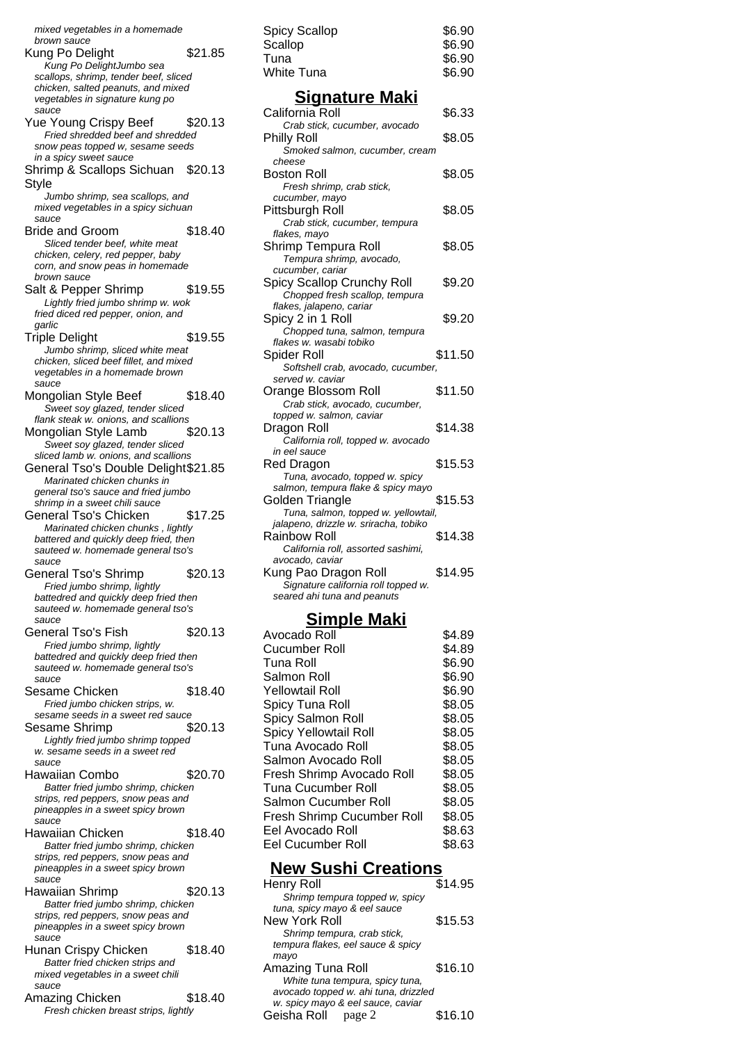mixed vegetables in a homemade brown sauce Kung Po Delight \$21.85 Kung Po DelightJumbo sea scallops, shrimp, tender beef, sliced chicken, salted peanuts, and mixed vegetables in signature kung po sauce Yue Young Crispy Beef \$20.13 Fried shredded beef and shredded snow peas topped w, sesame seeds in a spicy sweet sauce Shrimp & Scallops Sichuan \$20.13 **Style** Jumbo shrimp, sea scallops, and mixed vegetables in a spicy sichuan sauce Bride and Groom \$18.40 Sliced tender beef, white meat chicken, celery, red pepper, baby corn, and snow peas in homemade brown sauce Salt & Pepper Shrimp \$19.55 Lightly fried jumbo shrimp w. wok fried diced red pepper, onion, and garlic Triple Delight \$19.55 Jumbo shrimp, sliced white meat chicken, sliced beef fillet, and mixed vegetables in a homemade brown sauce Mongolian Style Beef \$18.40 Sweet soy glazed, tender sliced flank steak w. onions, and scallions Mongolian Style Lamb \$20.13 Sweet soy glazed, tender sliced sliced lamb w. onions, and scallions General Tso's Double Delight\$21.85 Marinated chicken chunks in general tso's sauce and fried jumbo shrimp in a sweet chili sauce General Tso's Chicken \$17.25 Marinated chicken chunks , lightly battered and quickly deep fried, then sauteed w. homemade general tso's sauce General Tso's Shrimp \$20.13 Fried jumbo shrimp, lightly battedred and quickly deep fried then sauteed w. homemade general tso's sauce General Tso's Fish \$20.13 Fried jumbo shrimp, lightly battedred and quickly deep fried then sauteed w. homemade general tso's sauce Sesame Chicken \$18.40 Fried jumbo chicken strips, w. sesame seeds in a sweet red sauce Sesame Shrimp \$20.13 Lightly fried jumbo shrimp topped w. sesame seeds in a sweet red sauce Hawaiian Combo \$20.70 Batter fried jumbo shrimp, chicken strips, red peppers, snow peas and pineapples in a sweet spicy brown sauce Hawaiian Chicken \$18.40 Batter fried jumbo shrimp, chicken strips, red peppers, snow peas and pineapples in a sweet spicy brown sauce Hawaiian Shrimp \$20.13 Batter fried jumbo shrimp, chicken strips, red peppers, snow peas and pineapples in a sweet spicy brown sauce Hunan Crispy Chicken \$18.40 Batter fried chicken strips and mixed vegetables in a sweet chili sauce Amazing Chicken \$18.40 Fresh chicken breast strips, lightly

| Spicy Scallop | \$6.90 |
|---------------|--------|
| Scallop       | \$6.90 |
| Tuna          | \$6.90 |
| White Tuna    | \$6.90 |
|               |        |

#### **Signature Maki**

| California Roll<br>Crab stick, cucumber, avocado       | \$6.33  |
|--------------------------------------------------------|---------|
| Philly Roll                                            | \$8.05  |
| Smoked salmon, cucumber, cream                         |         |
| cheese                                                 |         |
| Boston Roll                                            | \$8.05  |
| Fresh shrimp, crab stick,                              |         |
| cucumber, mayo                                         |         |
| Pittsburgh Roll                                        | \$8.05  |
| Crab stick, cucumber, tempura                          |         |
| flakes, mayo                                           |         |
| Shrimp Tempura Roll                                    | \$8.05  |
| Tempura shrimp, avocado,                               |         |
| cucumber, cariar                                       |         |
| Spicy Scallop Crunchy Roll                             | \$9.20  |
| Chopped fresh scallop, tempura                         |         |
| flakes, jalapeno, cariar                               |         |
| Spicy 2 in 1 Roll                                      | \$9.20  |
| Chopped tuna, salmon, tempura                          |         |
| flakes w. wasabi tobiko                                |         |
| Spider Roll                                            | \$11.50 |
| Softshell crab, avocado, cucumber,<br>served w. caviar |         |
| Orange Blossom Roll                                    | \$11.50 |
| Crab stick, avocado, cucumber,                         |         |
| topped w. salmon, caviar                               |         |
| Dragon Roll                                            | \$14.38 |
| California roll, topped w. avocado                     |         |
| in eel sauce                                           |         |
| <b>Red Dragon</b>                                      | \$15.53 |
| Tuna, avocado, topped w. spicy                         |         |
| salmon, tempura flake & spicy mayo                     |         |
| Golden Triangle                                        | \$15.53 |
| Tuna, salmon, topped w. yellowtail,                    |         |
| jalapeno, drizzle w. sriracha, tobiko                  |         |
| <b>Rainbow Roll</b>                                    | \$14.38 |
| California roll, assorted sashimi,                     |         |
| avocado, caviar                                        |         |
| Kung Pao Dragon Roll                                   | \$14.95 |
| Signature california roll topped w.                    |         |
| seared ahi tuna and peanuts                            |         |
| <u>Simple Maki</u>                                     |         |
| Avocado Roll                                           | \$4.89  |
| Cucumber Roll                                          | \$4.89  |
|                                                        |         |

| Cucumber Roll                     | \$4.89 |
|-----------------------------------|--------|
| Tuna Roll                         | \$6.90 |
| Salmon Roll                       | \$6.90 |
| <b>Yellowtail Roll</b>            | \$6.90 |
| Spicy Tuna Roll                   | \$8.05 |
| Spicy Salmon Roll                 | \$8.05 |
| Spicy Yellowtail Roll             | \$8.05 |
| Tuna Avocado Roll                 | \$8.05 |
| Salmon Avocado Roll               | \$8.05 |
| Fresh Shrimp Avocado Roll         | \$8.05 |
| <b>Tuna Cucumber Roll</b>         | \$8.05 |
| Salmon Cucumber Roll              | \$8.05 |
| <b>Fresh Shrimp Cucumber Roll</b> | \$8.05 |
| Eel Avocado Roll                  | \$8.63 |
| Eel Cucumber Roll                 | \$8.63 |
|                                   |        |

#### **New Sushi Creations**

| <b>Henry Roll</b>                                              | \$14.95 |
|----------------------------------------------------------------|---------|
| Shrimp tempura topped w, spicy<br>tuna, spicy mayo & eel sauce |         |
| New York Roll                                                  | \$15.53 |
| Shrimp tempura, crab stick,                                    |         |
| tempura flakes, eel sauce & spicy                              |         |
| mayo                                                           |         |
| Amazing Tuna Roll                                              | \$16.10 |
| White tuna tempura, spicy tuna,                                |         |
| avocado topped w. ahi tuna, drizzled                           |         |
| w. spicy mayo & eel sauce, caviar                              |         |
| Geisha Roll page 2                                             | \$16.10 |
|                                                                |         |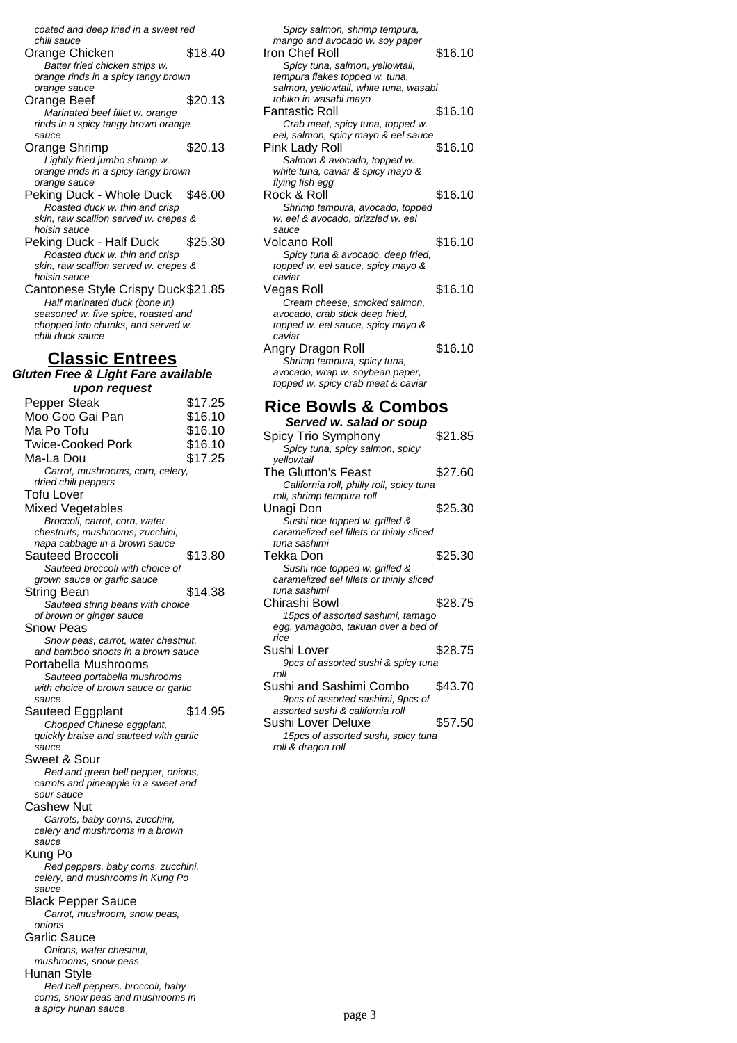coated and deep fried in a sweet red chili sauce

Orange Chicken \$18.40 Batter fried chicken strips w. orange rinds in a spicy tangy brown orange sauce Orange Beef \$20.13 Marinated beef fillet w. orange rinds in a spicy tangy brown orange sauce Orange Shrimp \$20.13 Lightly fried jumbo shrimp w. orange rinds in a spicy tangy brown orange sauce Peking Duck - Whole Duck \$46.00 Roasted duck w. thin and crisp skin, raw scallion served w. crepes & hoisin sauce Peking Duck - Half Duck \$25.30 Roasted duck w. thin and crisp skin, raw scallion served w. crepes & hoisin sauce

Cantonese Style Crispy Duck\$21.85 Half marinated duck (bone in) seasoned w. five spice, roasted and chopped into chunks, and served w. chili duck sauce

### **Classic Entrees**

**Gluten Free & Light Fare available upon request** Pepper Steak \$17.25 Moo Goo Gai Pan \$16.10

Ma Po Tofu **\$16.10** Twice-Cooked Pork \$16.10 Ma-La Dou \$17.25 Carrot, mushrooms, corn, celery, dried chili peppers Tofu Lover Mixed Vegetables Broccoli, carrot, corn, water chestnuts, mushrooms, zucchini, napa cabbage in a brown sauce Sauteed Broccoli \$13.80 Sauteed broccoli with choice of grown sauce or garlic sauce String Bean \$14.38 Sauteed string beans with choice of brown or ginger sauce Snow Peas Snow peas, carrot, water chestnut, and bamboo shoots in a brown sauce Portabella Mushrooms Sauteed portabella mushrooms with choice of brown sauce or garlic sauce Sauteed Eggplant \$14.95 Chopped Chinese eggplant, quickly braise and sauteed with garlic sauce Sweet & Sour Red and green bell pepper, onions, carrots and pineapple in a sweet and sour sauce Cashew Nut Carrots, baby corns, zucchini, celery and mushrooms in a brown sauce Kung Po Red peppers, baby corns, zucchini, celery, and mushrooms in Kung Po sauce Black Pepper Sauce Carrot, mushroom, snow peas, onions Garlic Sauce Onions, water chestnut, mushrooms, snow peas Hunan Style Red bell peppers, broccoli, baby corns, snow peas and mushrooms in a spicy hunan sauce

| Spicy salmon, shrimp tempura,<br>mango and avocado w. soy paper<br>Iron Chef Roll<br>Spicy tuna, salmon, yellowtail,<br>tempura flakes topped w. tuna,<br>salmon, yellowtail, white tuna, wasabi | \$16.10 |
|--------------------------------------------------------------------------------------------------------------------------------------------------------------------------------------------------|---------|
| tobiko in wasabi mayo<br>Fantastic Roll                                                                                                                                                          | \$16.10 |
| Crab meat, spicy tuna, topped w.<br>eel, salmon, spicy mayo & eel sauce<br>Pink Lady Roll<br>Salmon & avocado, topped w.<br>white tuna, caviar & spicy mayo &                                    | \$16.10 |
| flying fish egg<br>Rock & Roll                                                                                                                                                                   | \$16.10 |
| Shrimp tempura, avocado, topped<br>w. eel & avocado, drizzled w. eel<br>sauce                                                                                                                    |         |
| Volcano Roll<br>Spicy tuna & avocado, deep fried,<br>topped w. eel sauce, spicy mayo &<br>caviar                                                                                                 | \$16.10 |
| Vegas Roll<br>Cream cheese, smoked salmon,<br>avocado, crab stick deep fried,<br>topped w. eel sauce, spicy mayo &<br>caviar                                                                     | \$16.10 |
| Angry Dragon Roll<br>Shrimp tempura, spicy tuna,<br>avocado, wrap w. soybean paper,<br>topped w. spicy crab meat & caviar                                                                        | \$16.10 |
| <b>Rice Bowls &amp; Combos</b><br>Served w. salad or soup                                                                                                                                        |         |
| Spicy Trio Symphony<br>Spicy tuna, spicy salmon, spicy                                                                                                                                           | \$21.85 |
| vellowtail<br>The Glutton's Feast<br>California roll, philly roll, spicy tuna                                                                                                                    | \$27.60 |
| roll, shrimp tempura roll<br>Unagi Don<br>Sushi rice topped w. grilled &                                                                                                                         | \$25.30 |
| caramelized eel fillets or thinly sliced<br>tuna sashimi                                                                                                                                         |         |

- Tekka Don \$25.30 Sushi rice topped w. grilled & caramelized eel fillets or thinly sliced tuna sashimi Chirashi Bowl \$28.75 15pcs of assorted sashimi, tamago egg, yamagobo, takuan over a bed of rice Sushi Lover \$28.75 9pcs of assorted sushi & spicy tuna roll Sushi and Sashimi Combo \$43.70 9pcs of assorted sashimi, 9pcs of assorted sushi & california roll
- Sushi Lover Deluxe \$57.50 15pcs of assorted sushi, spicy tuna roll & dragon roll